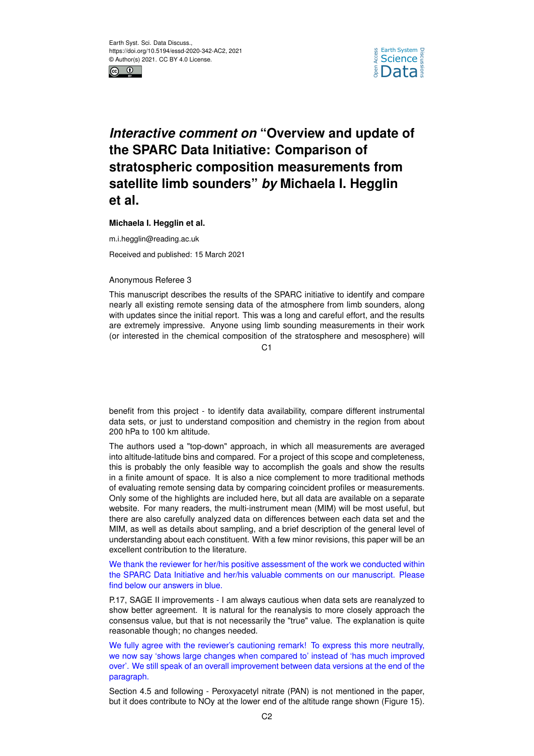



# *Interactive comment on* **"Overview and update of the SPARC Data Initiative: Comparison of stratospheric composition measurements from satellite limb sounders"** *by* **Michaela I. Hegglin et al.**

## **Michaela I. Hegglin et al.**

m.i.hegglin@reading.ac.uk

Received and published: 15 March 2021

### Anonymous Referee 3

This manuscript describes the results of the SPARC initiative to identify and compare nearly all existing remote sensing data of the atmosphere from limb sounders, along with updates since the initial report. This was a long and careful effort, and the results are extremely impressive. Anyone using limb sounding measurements in their work (or interested in the chemical composition of the stratosphere and mesosphere) will

 $C<sub>1</sub>$ 

benefit from this project - to identify data availability, compare different instrumental data sets, or just to understand composition and chemistry in the region from about 200 hPa to 100 km altitude.

The authors used a "top-down" approach, in which all measurements are averaged into altitude-latitude bins and compared. For a project of this scope and completeness, this is probably the only feasible way to accomplish the goals and show the results in a finite amount of space. It is also a nice complement to more traditional methods of evaluating remote sensing data by comparing coincident profiles or measurements. Only some of the highlights are included here, but all data are available on a separate website. For many readers, the multi-instrument mean (MIM) will be most useful, but there are also carefully analyzed data on differences between each data set and the MIM, as well as details about sampling, and a brief description of the general level of understanding about each constituent. With a few minor revisions, this paper will be an excellent contribution to the literature.

We thank the reviewer for her/his positive assessment of the work we conducted within the SPARC Data Initiative and her/his valuable comments on our manuscript. Please find below our answers in blue.

P.17, SAGE II improvements - I am always cautious when data sets are reanalyzed to show better agreement. It is natural for the reanalysis to more closely approach the consensus value, but that is not necessarily the "true" value. The explanation is quite reasonable though; no changes needed.

We fully agree with the reviewer's cautioning remark! To express this more neutrally, we now say 'shows large changes when compared to' instead of 'has much improved over'. We still speak of an overall improvement between data versions at the end of the paragraph.

Section 4.5 and following - Peroxyacetyl nitrate (PAN) is not mentioned in the paper, but it does contribute to NOy at the lower end of the altitude range shown (Figure 15).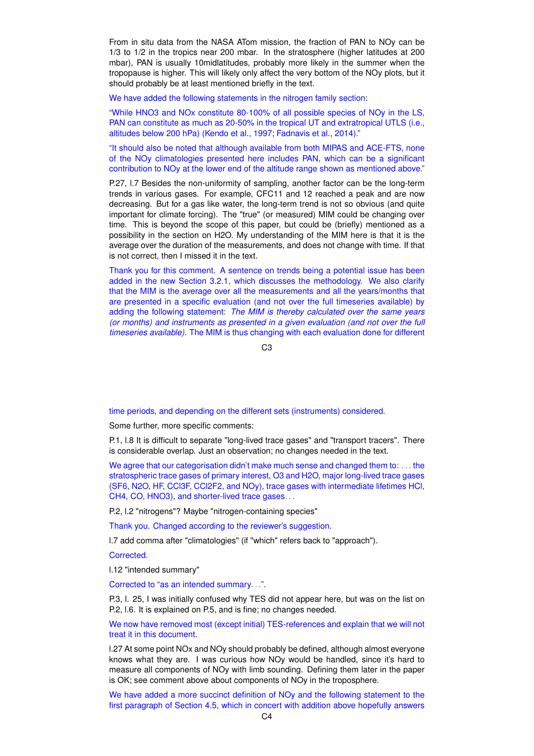From in situ data from the NASA ATom mission, the fraction of PAN to NOy can be 1/3 to 1/2 in the tropics near 200 mbar. In the stratosphere (higher latitudes at 200 mbar), PAN is usually 10midlatitudes, probably more likely in the summer when the tropopause is higher. This will likely only affect the very bottom of the NOy plots, but it should probably be at least mentioned briefly in the text.

We have added the following statements in the nitrogen family section:

"While HNO3 and NOx constitute 80-100% of all possible species of NOy in the LS, PAN can constitute as much as 20-50% in the tropical UT and extratropical UTLS (i.e., altitudes below 200 hPa) (Kendo et al., 1997; Fadnavis et al., 2014)."

"It should also be noted that although available from both MIPAS and ACE-FTS, none of the NOy climatologies presented here includes PAN, which can be a significant contribution to NOy at the lower end of the altitude range shown as mentioned above."

P.27, l.7 Besides the non-uniformity of sampling, another factor can be the long-term trends in various gases. For example, CFC11 and 12 reached a peak and are now decreasing. But for a gas like water, the long-term trend is not so obvious (and quite important for climate forcing). The "true" (or measured) MIM could be changing over time. This is beyond the scope of this paper, but could be (briefly) mentioned as a possibility in the section on H2O. My understanding of the MIM here is that it is the average over the duration of the measurements, and does not change with time. If that is not correct, then I missed it in the text.

Thank you for this comment. A sentence on trends being a potential issue has been added in the new Section 3.2.1, which discusses the methodology. We also clarify that the MIM is the average over all the measurements and all the years/months that are presented in a specific evaluation (and not over the full timeseries available) by adding the following statement: *The MIM is thereby calculated over the same years (or months) and instruments as presented in a given evaluation (and not over the full timeseries available).* The MIM is thus changing with each evaluation done for different

C3

time periods, and depending on the different sets (instruments) considered.

Some further, more specific comments:

P.1, l.8 It is difficult to separate "long-lived trace gases" and "transport tracers". There is considerable overlap. Just an observation; no changes needed in the text.

We agree that our categorisation didn't make much sense and changed them to: . . . the stratospheric trace gases of primary interest, O3 and H2O, major long-lived trace gases (SF6, N2O, HF, CCl3F, CCl2F2, and NOy), trace gases with intermediate lifetimes HCl, CH4, CO, HNO3), and shorter-lived trace gases. . .

P.2, l.2 "nitrogens"? Maybe "nitrogen-containing species"

Thank you. Changed according to the reviewer's suggestion.

l.7 add comma after "climatologies" (if "which" refers back to "approach").

Corrected.

l.12 "intended summary"

Corrected to "as an intended summary. . .".

P.3, l. 25, I was initially confused why TES did not appear here, but was on the list on P.2, l.6. It is explained on P.5, and is fine; no changes needed.

We now have removed most (except initial) TES-references and explain that we will not treat it in this document.

l.27 At some point NOx and NOy should probably be defined, although almost everyone knows what they are. I was curious how NOy would be handled, since it's hard to measure all components of NOy with limb sounding. Defining them later in the paper is OK; see comment above about components of NOy in the troposphere.

We have added a more succinct definition of NOy and the following statement to the first paragraph of Section 4.5, which in concert with addition above hopefully answers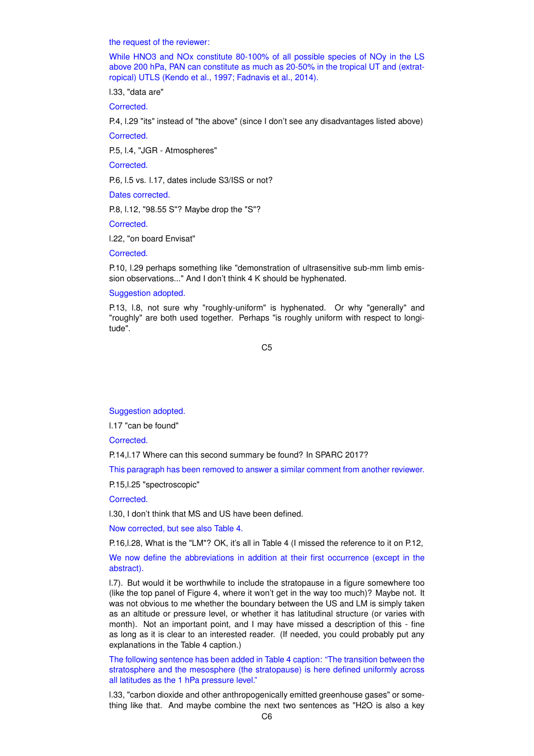the request of the reviewer:

While HNO3 and NOx constitute 80-100% of all possible species of NOy in the LS above 200 hPa, PAN can constitute as much as 20-50% in the tropical UT and (extratropical) UTLS (Kendo et al., 1997; Fadnavis et al., 2014).

l.33, "data are"

Corrected.

P.4, l.29 "its" instead of "the above" (since I don't see any disadvantages listed above)

Corrected.

P.5, l.4, "JGR - Atmospheres"

Corrected.

P.6, l.5 vs. l.17, dates include S3/ISS or not?

Dates corrected.

P.8, l.12, "98.55 S"? Maybe drop the "S"?

Corrected.

l.22, "on board Envisat"

Corrected.

P.10, l.29 perhaps something like "demonstration of ultrasensitive sub-mm limb emission observations..." And I don't think 4 K should be hyphenated.

#### Suggestion adopted.

P.13, l.8, not sure why "roughly-uniform" is hyphenated. Or why "generally" and "roughly" are both used together. Perhaps "is roughly uniform with respect to longitude".

C5

Suggestion adopted.

l.17 "can be found"

Corrected.

P.14,l.17 Where can this second summary be found? In SPARC 2017?

This paragraph has been removed to answer a similar comment from another reviewer.

P.15,l.25 "spectroscopic"

Corrected.

l.30, I don't think that MS and US have been defined.

Now corrected, but see also Table 4.

P.16,l.28, What is the "LM"? OK, it's all in Table 4 (I missed the reference to it on P.12,

We now define the abbreviations in addition at their first occurrence (except in the abstract).

l.7). But would it be worthwhile to include the stratopause in a figure somewhere too (like the top panel of Figure 4, where it won't get in the way too much)? Maybe not. It was not obvious to me whether the boundary between the US and LM is simply taken as an altitude or pressure level, or whether it has latitudinal structure (or varies with month). Not an important point, and I may have missed a description of this - fine as long as it is clear to an interested reader. (If needed, you could probably put any explanations in the Table 4 caption.)

The following sentence has been added in Table 4 caption: "The transition between the stratosphere and the mesosphere (the stratopause) is here defined uniformly across all latitudes as the 1 hPa pressure level."

l.33, "carbon dioxide and other anthropogenically emitted greenhouse gases" or something like that. And maybe combine the next two sentences as "H2O is also a key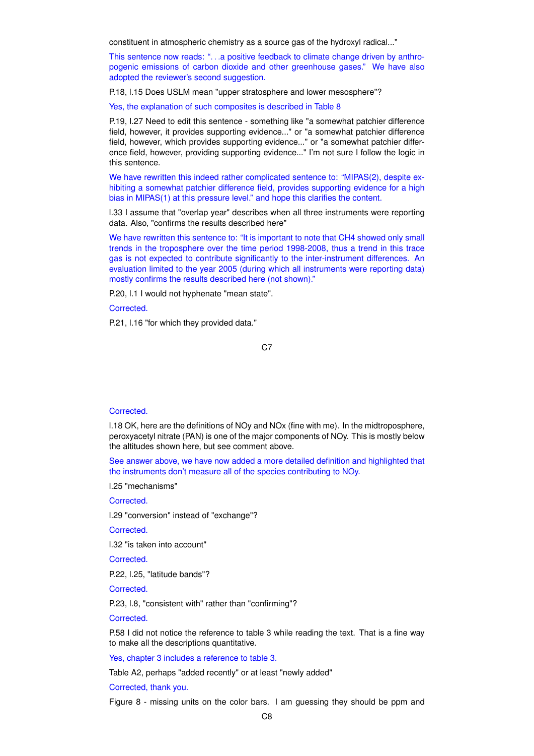constituent in atmospheric chemistry as a source gas of the hydroxyl radical..."

This sentence now reads: ". . .a positive feedback to climate change driven by anthropogenic emissions of carbon dioxide and other greenhouse gases." We have also adopted the reviewer's second suggestion.

P.18, l.15 Does USLM mean "upper stratosphere and lower mesosphere"?

Yes, the explanation of such composites is described in Table 8

P.19, l.27 Need to edit this sentence - something like "a somewhat patchier difference field, however, it provides supporting evidence..." or "a somewhat patchier difference field, however, which provides supporting evidence..." or "a somewhat patchier difference field, however, providing supporting evidence..." I'm not sure I follow the logic in this sentence.

We have rewritten this indeed rather complicated sentence to: "MIPAS(2), despite exhibiting a somewhat patchier difference field, provides supporting evidence for a high bias in MIPAS(1) at this pressure level." and hope this clarifies the content.

l.33 I assume that "overlap year" describes when all three instruments were reporting data. Also, "confirms the results described here"

We have rewritten this sentence to: "It is important to note that CH4 showed only small trends in the troposphere over the time period 1998-2008, thus a trend in this trace gas is not expected to contribute significantly to the inter-instrument differences. An evaluation limited to the year 2005 (during which all instruments were reporting data) mostly confirms the results described here (not shown)."

P.20, l.1 I would not hyphenate "mean state".

Corrected.

P.21, l.16 "for which they provided data."

C<sub>7</sub>

## Corrected.

l.18 OK, here are the definitions of NOy and NOx (fine with me). In the midtroposphere, peroxyacetyl nitrate (PAN) is one of the major components of NOy. This is mostly below the altitudes shown here, but see comment above.

See answer above, we have now added a more detailed definition and highlighted that the instruments don't measure all of the species contributing to NOy.

l.25 "mechanisms"

Corrected.

l.29 "conversion" instead of "exchange"?

Corrected.

l.32 "is taken into account"

Corrected.

P.22, l.25, "latitude bands"?

Corrected.

P.23, l.8, "consistent with" rather than "confirming"?

Corrected.

P.58 I did not notice the reference to table 3 while reading the text. That is a fine way to make all the descriptions quantitative.

Yes, chapter 3 includes a reference to table 3.

Table A2, perhaps "added recently" or at least "newly added"

Corrected, thank you.

Figure 8 - missing units on the color bars. I am guessing they should be ppm and